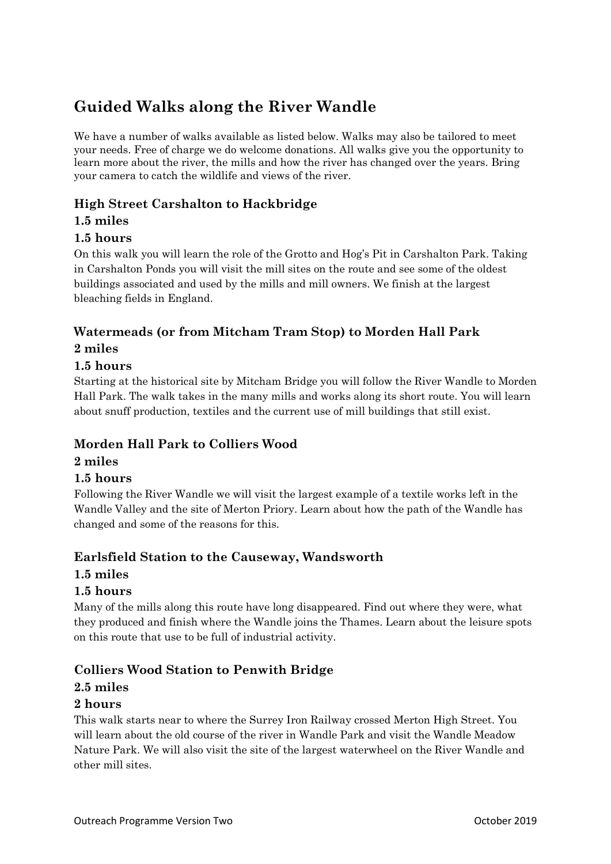# **Guided Walks along the River Wandle**

We have a number of walks available as listed below. Walks may also be tailored to meet your needs. Free of charge we do welcome donations. All walks give you the opportunity to learn more about the river, the mills and how the river has changed over the years. Bring your camera to catch the wildlife and views of the river.

# **High Street Carshalton to Hackbridge**

## **1.5 miles**

## **1.5 hours**

On this walk you will learn the role of the Grotto and Hog's Pit in Carshalton Park. Taking in Carshalton Ponds you will visit the mill sites on the route and see some of the oldest buildings associated and used by the mills and mill owners. We finish at the largest bleaching fields in England.

# **Watermeads (or from Mitcham Tram Stop) to Morden Hall Park 2 miles**

## **1.5 hours**

Starting at the historical site by Mitcham Bridge you will follow the River Wandle to Morden Hall Park. The walk takes in the many mills and works along its short route. You will learn about snuff production, textiles and the current use of mill buildings that still exist.

## **Morden Hall Park to Colliers Wood**

#### **2 miles**

#### **1.5 hours**

Following the River Wandle we will visit the largest example of a textile works left in the Wandle Valley and the site of Merton Priory. Learn about how the path of the Wandle has changed and some of the reasons for this.

## **Earlsfield Station to the Causeway, Wandsworth**

#### **1.5 miles**

#### **1.5 hours**

Many of the mills along this route have long disappeared. Find out where they were, what they produced and finish where the Wandle joins the Thames. Learn about the leisure spots on this route that use to be full of industrial activity.

## **Colliers Wood Station to Penwith Bridge**

#### **2.5 miles**

#### **2 hours**

This walk starts near to where the Surrey Iron Railway crossed Merton High Street. You will learn about the old course of the river in Wandle Park and visit the Wandle Meadow Nature Park. We will also visit the site of the largest waterwheel on the River Wandle and other mill sites.